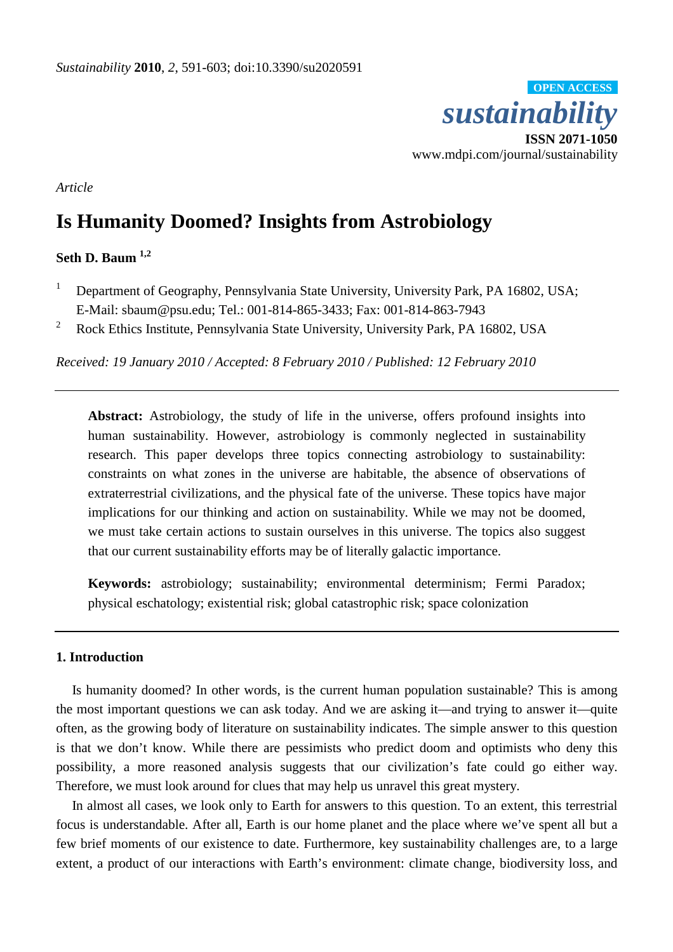

*Article* 

# **Is Humanity Doomed? Insights from Astrobiology**

## **Seth D. Baum 1,2**

- <sup>1</sup> Department of Geography, Pennsylvania State University, University Park, PA 16802, USA; E-Mail: sbaum@psu.edu; Tel.: 001-814-865-3433; Fax: 001-814-863-7943
- <sup>2</sup> Rock Ethics Institute, Pennsylvania State University, University Park, PA 16802, USA

*Received: 19 January 2010 / Accepted: 8 February 2010 / Published: 12 February 2010* 

**Abstract:** Astrobiology, the study of life in the universe, offers profound insights into human sustainability. However, astrobiology is commonly neglected in sustainability research. This paper develops three topics connecting astrobiology to sustainability: constraints on what zones in the universe are habitable, the absence of observations of extraterrestrial civilizations, and the physical fate of the universe. These topics have major implications for our thinking and action on sustainability. While we may not be doomed, we must take certain actions to sustain ourselves in this universe. The topics also suggest that our current sustainability efforts may be of literally galactic importance.

**Keywords:** astrobiology; sustainability; environmental determinism; Fermi Paradox; physical eschatology; existential risk; global catastrophic risk; space colonization

#### **1. Introduction**

Is humanity doomed? In other words, is the current human population sustainable? This is among the most important questions we can ask today. And we are asking it—and trying to answer it—quite often, as the growing body of literature on sustainability indicates. The simple answer to this question is that we don't know. While there are pessimists who predict doom and optimists who deny this possibility, a more reasoned analysis suggests that our civilization's fate could go either way. Therefore, we must look around for clues that may help us unravel this great mystery.

In almost all cases, we look only to Earth for answers to this question. To an extent, this terrestrial focus is understandable. After all, Earth is our home planet and the place where we've spent all but a few brief moments of our existence to date. Furthermore, key sustainability challenges are, to a large extent, a product of our interactions with Earth's environment: climate change, biodiversity loss, and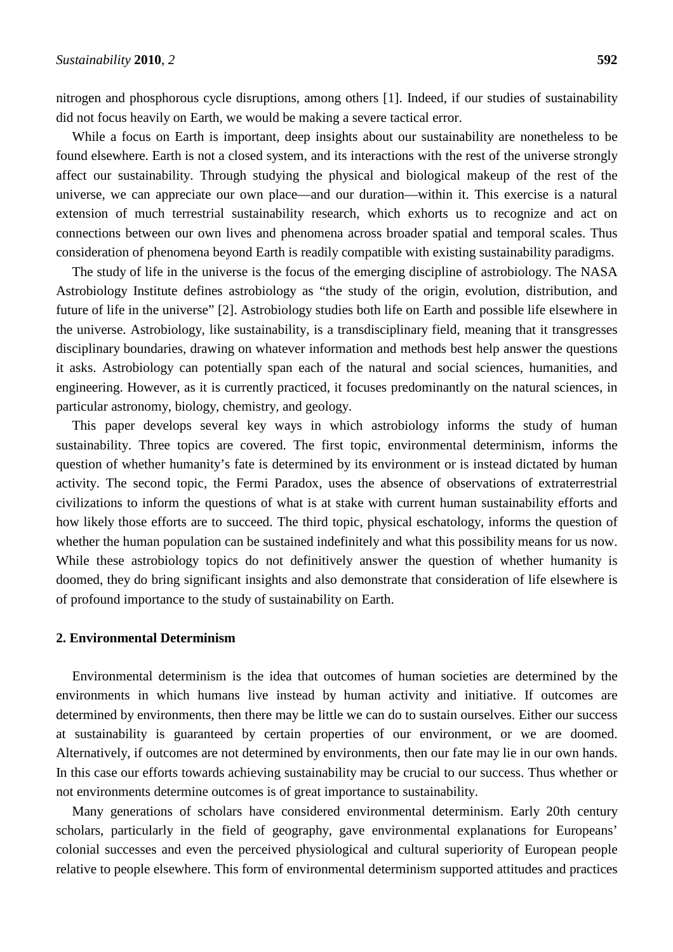nitrogen and phosphorous cycle disruptions, among others [1]. Indeed, if our studies of sustainability did not focus heavily on Earth, we would be making a severe tactical error.

While a focus on Earth is important, deep insights about our sustainability are nonetheless to be found elsewhere. Earth is not a closed system, and its interactions with the rest of the universe strongly affect our sustainability. Through studying the physical and biological makeup of the rest of the universe, we can appreciate our own place—and our duration—within it. This exercise is a natural extension of much terrestrial sustainability research, which exhorts us to recognize and act on connections between our own lives and phenomena across broader spatial and temporal scales. Thus consideration of phenomena beyond Earth is readily compatible with existing sustainability paradigms.

The study of life in the universe is the focus of the emerging discipline of astrobiology. The NASA Astrobiology Institute defines astrobiology as "the study of the origin, evolution, distribution, and future of life in the universe" [2]. Astrobiology studies both life on Earth and possible life elsewhere in the universe. Astrobiology, like sustainability, is a transdisciplinary field, meaning that it transgresses disciplinary boundaries, drawing on whatever information and methods best help answer the questions it asks. Astrobiology can potentially span each of the natural and social sciences, humanities, and engineering. However, as it is currently practiced, it focuses predominantly on the natural sciences, in particular astronomy, biology, chemistry, and geology.

This paper develops several key ways in which astrobiology informs the study of human sustainability. Three topics are covered. The first topic, environmental determinism, informs the question of whether humanity's fate is determined by its environment or is instead dictated by human activity. The second topic, the Fermi Paradox, uses the absence of observations of extraterrestrial civilizations to inform the questions of what is at stake with current human sustainability efforts and how likely those efforts are to succeed. The third topic, physical eschatology, informs the question of whether the human population can be sustained indefinitely and what this possibility means for us now. While these astrobiology topics do not definitively answer the question of whether humanity is doomed, they do bring significant insights and also demonstrate that consideration of life elsewhere is of profound importance to the study of sustainability on Earth.

#### **2. Environmental Determinism**

Environmental determinism is the idea that outcomes of human societies are determined by the environments in which humans live instead by human activity and initiative. If outcomes are determined by environments, then there may be little we can do to sustain ourselves. Either our success at sustainability is guaranteed by certain properties of our environment, or we are doomed. Alternatively, if outcomes are not determined by environments, then our fate may lie in our own hands. In this case our efforts towards achieving sustainability may be crucial to our success. Thus whether or not environments determine outcomes is of great importance to sustainability.

Many generations of scholars have considered environmental determinism. Early 20th century scholars, particularly in the field of geography, gave environmental explanations for Europeans' colonial successes and even the perceived physiological and cultural superiority of European people relative to people elsewhere. This form of environmental determinism supported attitudes and practices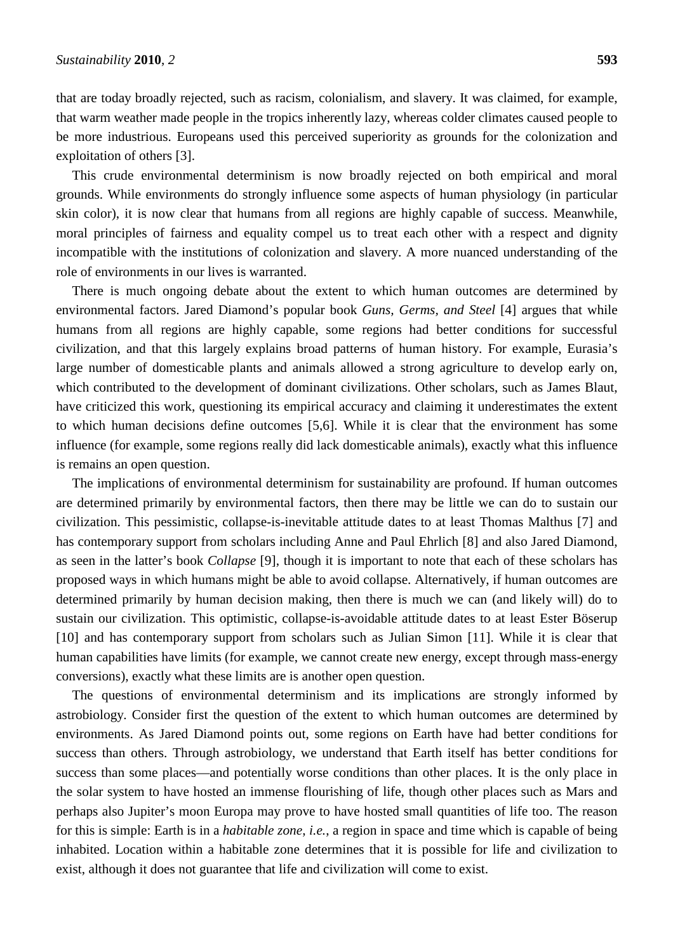that are today broadly rejected, such as racism, colonialism, and slavery. It was claimed, for example, that warm weather made people in the tropics inherently lazy, whereas colder climates caused people to be more industrious. Europeans used this perceived superiority as grounds for the colonization and exploitation of others [3].

This crude environmental determinism is now broadly rejected on both empirical and moral grounds. While environments do strongly influence some aspects of human physiology (in particular skin color), it is now clear that humans from all regions are highly capable of success. Meanwhile, moral principles of fairness and equality compel us to treat each other with a respect and dignity incompatible with the institutions of colonization and slavery. A more nuanced understanding of the role of environments in our lives is warranted.

There is much ongoing debate about the extent to which human outcomes are determined by environmental factors. Jared Diamond's popular book *Guns, Germs, and Steel* [4] argues that while humans from all regions are highly capable, some regions had better conditions for successful civilization, and that this largely explains broad patterns of human history. For example, Eurasia's large number of domesticable plants and animals allowed a strong agriculture to develop early on, which contributed to the development of dominant civilizations. Other scholars, such as James Blaut, have criticized this work, questioning its empirical accuracy and claiming it underestimates the extent to which human decisions define outcomes [5,6]. While it is clear that the environment has some influence (for example, some regions really did lack domesticable animals), exactly what this influence is remains an open question.

The implications of environmental determinism for sustainability are profound. If human outcomes are determined primarily by environmental factors, then there may be little we can do to sustain our civilization. This pessimistic, collapse-is-inevitable attitude dates to at least Thomas Malthus [7] and has contemporary support from scholars including Anne and Paul Ehrlich [8] and also Jared Diamond, as seen in the latter's book *Collapse* [9], though it is important to note that each of these scholars has proposed ways in which humans might be able to avoid collapse. Alternatively, if human outcomes are determined primarily by human decision making, then there is much we can (and likely will) do to sustain our civilization. This optimistic, collapse-is-avoidable attitude dates to at least Ester Böserup [10] and has contemporary support from scholars such as Julian Simon [11]. While it is clear that human capabilities have limits (for example, we cannot create new energy, except through mass-energy conversions), exactly what these limits are is another open question.

The questions of environmental determinism and its implications are strongly informed by astrobiology. Consider first the question of the extent to which human outcomes are determined by environments. As Jared Diamond points out, some regions on Earth have had better conditions for success than others. Through astrobiology, we understand that Earth itself has better conditions for success than some places—and potentially worse conditions than other places. It is the only place in the solar system to have hosted an immense flourishing of life, though other places such as Mars and perhaps also Jupiter's moon Europa may prove to have hosted small quantities of life too. The reason for this is simple: Earth is in a *habitable zone*, *i.e.*, a region in space and time which is capable of being inhabited. Location within a habitable zone determines that it is possible for life and civilization to exist, although it does not guarantee that life and civilization will come to exist.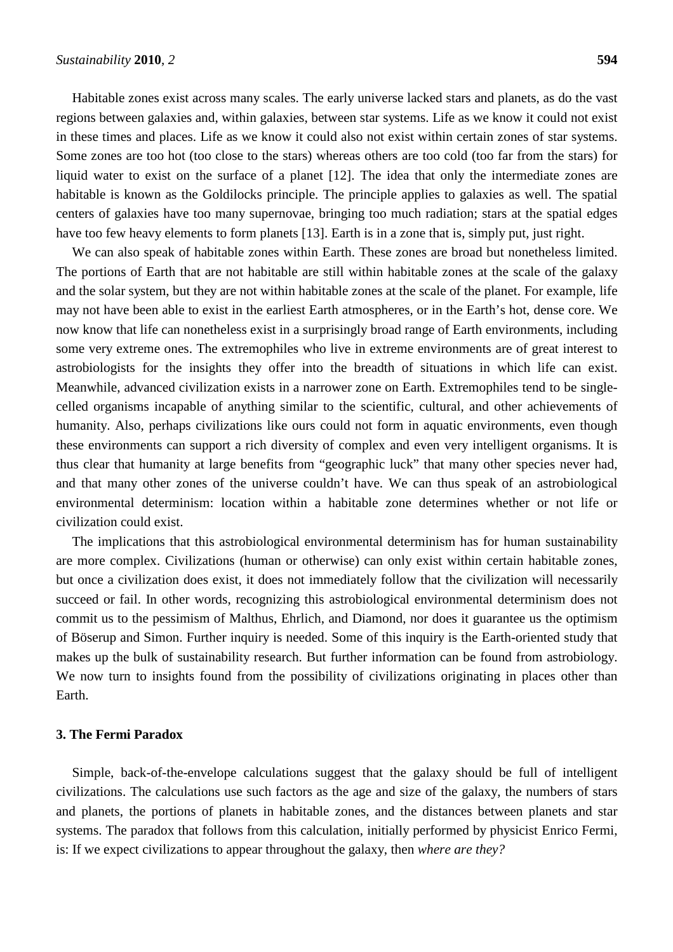Habitable zones exist across many scales. The early universe lacked stars and planets, as do the vast regions between galaxies and, within galaxies, between star systems. Life as we know it could not exist in these times and places. Life as we know it could also not exist within certain zones of star systems. Some zones are too hot (too close to the stars) whereas others are too cold (too far from the stars) for liquid water to exist on the surface of a planet [12]. The idea that only the intermediate zones are habitable is known as the Goldilocks principle. The principle applies to galaxies as well. The spatial centers of galaxies have too many supernovae, bringing too much radiation; stars at the spatial edges have too few heavy elements to form planets [13]. Earth is in a zone that is, simply put, just right.

We can also speak of habitable zones within Earth. These zones are broad but nonetheless limited. The portions of Earth that are not habitable are still within habitable zones at the scale of the galaxy and the solar system, but they are not within habitable zones at the scale of the planet. For example, life may not have been able to exist in the earliest Earth atmospheres, or in the Earth's hot, dense core. We now know that life can nonetheless exist in a surprisingly broad range of Earth environments, including some very extreme ones. The extremophiles who live in extreme environments are of great interest to astrobiologists for the insights they offer into the breadth of situations in which life can exist. Meanwhile, advanced civilization exists in a narrower zone on Earth. Extremophiles tend to be singlecelled organisms incapable of anything similar to the scientific, cultural, and other achievements of humanity. Also, perhaps civilizations like ours could not form in aquatic environments, even though these environments can support a rich diversity of complex and even very intelligent organisms. It is thus clear that humanity at large benefits from "geographic luck" that many other species never had, and that many other zones of the universe couldn't have. We can thus speak of an astrobiological environmental determinism: location within a habitable zone determines whether or not life or civilization could exist.

The implications that this astrobiological environmental determinism has for human sustainability are more complex. Civilizations (human or otherwise) can only exist within certain habitable zones, but once a civilization does exist, it does not immediately follow that the civilization will necessarily succeed or fail. In other words, recognizing this astrobiological environmental determinism does not commit us to the pessimism of Malthus, Ehrlich, and Diamond, nor does it guarantee us the optimism of Böserup and Simon. Further inquiry is needed. Some of this inquiry is the Earth-oriented study that makes up the bulk of sustainability research. But further information can be found from astrobiology. We now turn to insights found from the possibility of civilizations originating in places other than Earth.

#### **3. The Fermi Paradox**

Simple, back-of-the-envelope calculations suggest that the galaxy should be full of intelligent civilizations. The calculations use such factors as the age and size of the galaxy, the numbers of stars and planets, the portions of planets in habitable zones, and the distances between planets and star systems. The paradox that follows from this calculation, initially performed by physicist Enrico Fermi, is: If we expect civilizations to appear throughout the galaxy, then *where are they?*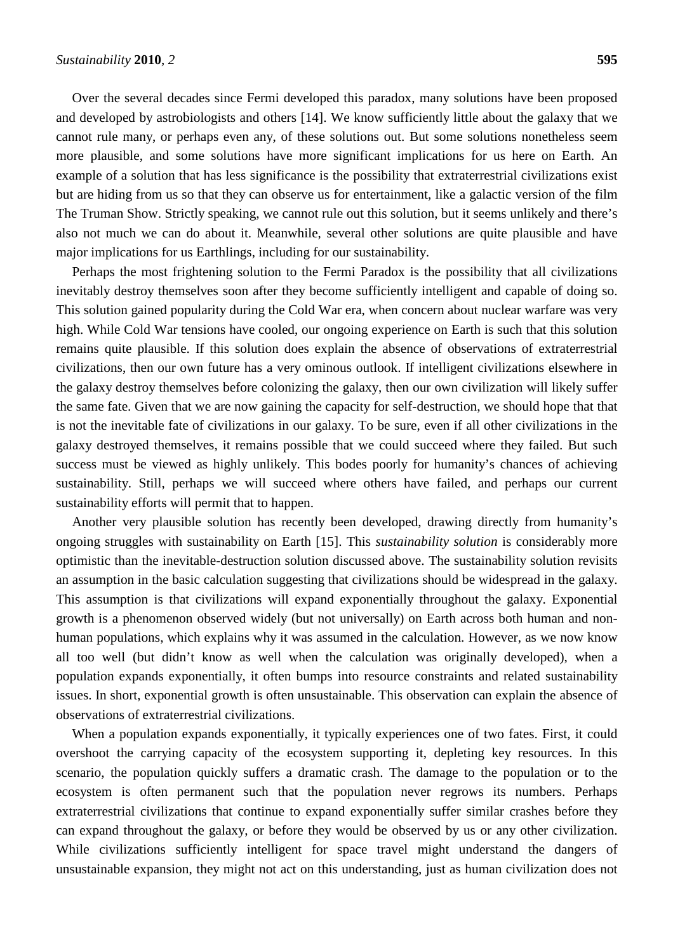Over the several decades since Fermi developed this paradox, many solutions have been proposed and developed by astrobiologists and others [14]. We know sufficiently little about the galaxy that we

cannot rule many, or perhaps even any, of these solutions out. But some solutions nonetheless seem more plausible, and some solutions have more significant implications for us here on Earth. An example of a solution that has less significance is the possibility that extraterrestrial civilizations exist but are hiding from us so that they can observe us for entertainment, like a galactic version of the film The Truman Show. Strictly speaking, we cannot rule out this solution, but it seems unlikely and there's also not much we can do about it. Meanwhile, several other solutions are quite plausible and have major implications for us Earthlings, including for our sustainability.

Perhaps the most frightening solution to the Fermi Paradox is the possibility that all civilizations inevitably destroy themselves soon after they become sufficiently intelligent and capable of doing so. This solution gained popularity during the Cold War era, when concern about nuclear warfare was very high. While Cold War tensions have cooled, our ongoing experience on Earth is such that this solution remains quite plausible. If this solution does explain the absence of observations of extraterrestrial civilizations, then our own future has a very ominous outlook. If intelligent civilizations elsewhere in the galaxy destroy themselves before colonizing the galaxy, then our own civilization will likely suffer the same fate. Given that we are now gaining the capacity for self-destruction, we should hope that that is not the inevitable fate of civilizations in our galaxy. To be sure, even if all other civilizations in the galaxy destroyed themselves, it remains possible that we could succeed where they failed. But such success must be viewed as highly unlikely. This bodes poorly for humanity's chances of achieving sustainability. Still, perhaps we will succeed where others have failed, and perhaps our current sustainability efforts will permit that to happen.

Another very plausible solution has recently been developed, drawing directly from humanity's ongoing struggles with sustainability on Earth [15]. This *sustainability solution* is considerably more optimistic than the inevitable-destruction solution discussed above. The sustainability solution revisits an assumption in the basic calculation suggesting that civilizations should be widespread in the galaxy. This assumption is that civilizations will expand exponentially throughout the galaxy. Exponential growth is a phenomenon observed widely (but not universally) on Earth across both human and nonhuman populations, which explains why it was assumed in the calculation. However, as we now know all too well (but didn't know as well when the calculation was originally developed), when a population expands exponentially, it often bumps into resource constraints and related sustainability issues. In short, exponential growth is often unsustainable. This observation can explain the absence of observations of extraterrestrial civilizations.

When a population expands exponentially, it typically experiences one of two fates. First, it could overshoot the carrying capacity of the ecosystem supporting it, depleting key resources. In this scenario, the population quickly suffers a dramatic crash. The damage to the population or to the ecosystem is often permanent such that the population never regrows its numbers. Perhaps extraterrestrial civilizations that continue to expand exponentially suffer similar crashes before they can expand throughout the galaxy, or before they would be observed by us or any other civilization. While civilizations sufficiently intelligent for space travel might understand the dangers of unsustainable expansion, they might not act on this understanding, just as human civilization does not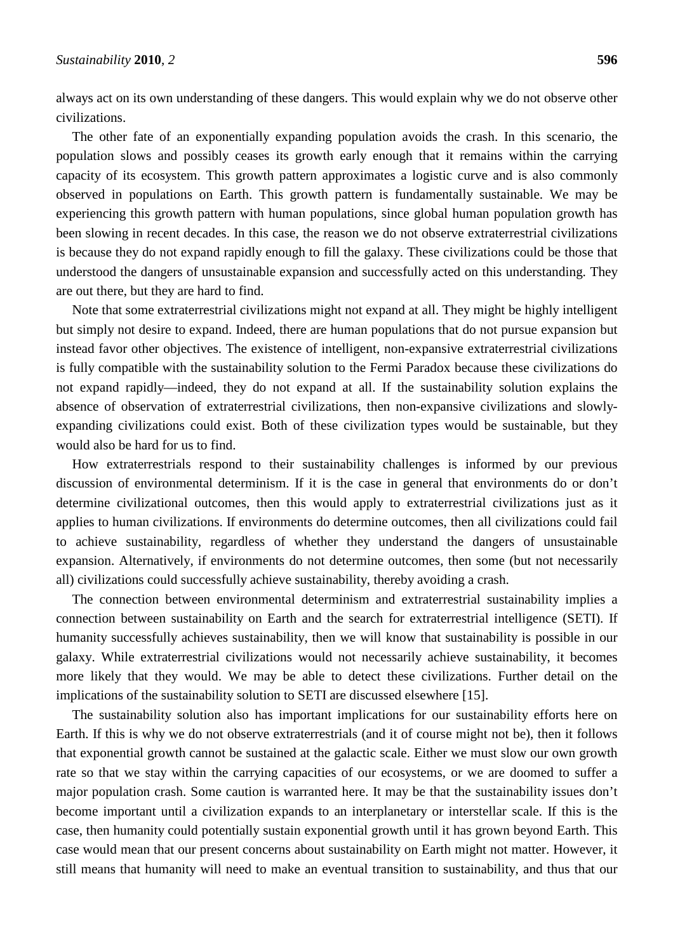always act on its own understanding of these dangers. This would explain why we do not observe other civilizations.

The other fate of an exponentially expanding population avoids the crash. In this scenario, the population slows and possibly ceases its growth early enough that it remains within the carrying capacity of its ecosystem. This growth pattern approximates a logistic curve and is also commonly observed in populations on Earth. This growth pattern is fundamentally sustainable. We may be experiencing this growth pattern with human populations, since global human population growth has been slowing in recent decades. In this case, the reason we do not observe extraterrestrial civilizations is because they do not expand rapidly enough to fill the galaxy. These civilizations could be those that understood the dangers of unsustainable expansion and successfully acted on this understanding. They are out there, but they are hard to find.

Note that some extraterrestrial civilizations might not expand at all. They might be highly intelligent but simply not desire to expand. Indeed, there are human populations that do not pursue expansion but instead favor other objectives. The existence of intelligent, non-expansive extraterrestrial civilizations is fully compatible with the sustainability solution to the Fermi Paradox because these civilizations do not expand rapidly—indeed, they do not expand at all. If the sustainability solution explains the absence of observation of extraterrestrial civilizations, then non-expansive civilizations and slowlyexpanding civilizations could exist. Both of these civilization types would be sustainable, but they would also be hard for us to find.

How extraterrestrials respond to their sustainability challenges is informed by our previous discussion of environmental determinism. If it is the case in general that environments do or don't determine civilizational outcomes, then this would apply to extraterrestrial civilizations just as it applies to human civilizations. If environments do determine outcomes, then all civilizations could fail to achieve sustainability, regardless of whether they understand the dangers of unsustainable expansion. Alternatively, if environments do not determine outcomes, then some (but not necessarily all) civilizations could successfully achieve sustainability, thereby avoiding a crash.

The connection between environmental determinism and extraterrestrial sustainability implies a connection between sustainability on Earth and the search for extraterrestrial intelligence (SETI). If humanity successfully achieves sustainability, then we will know that sustainability is possible in our galaxy. While extraterrestrial civilizations would not necessarily achieve sustainability, it becomes more likely that they would. We may be able to detect these civilizations. Further detail on the implications of the sustainability solution to SETI are discussed elsewhere [15].

The sustainability solution also has important implications for our sustainability efforts here on Earth. If this is why we do not observe extraterrestrials (and it of course might not be), then it follows that exponential growth cannot be sustained at the galactic scale. Either we must slow our own growth rate so that we stay within the carrying capacities of our ecosystems, or we are doomed to suffer a major population crash. Some caution is warranted here. It may be that the sustainability issues don't become important until a civilization expands to an interplanetary or interstellar scale. If this is the case, then humanity could potentially sustain exponential growth until it has grown beyond Earth. This case would mean that our present concerns about sustainability on Earth might not matter. However, it still means that humanity will need to make an eventual transition to sustainability, and thus that our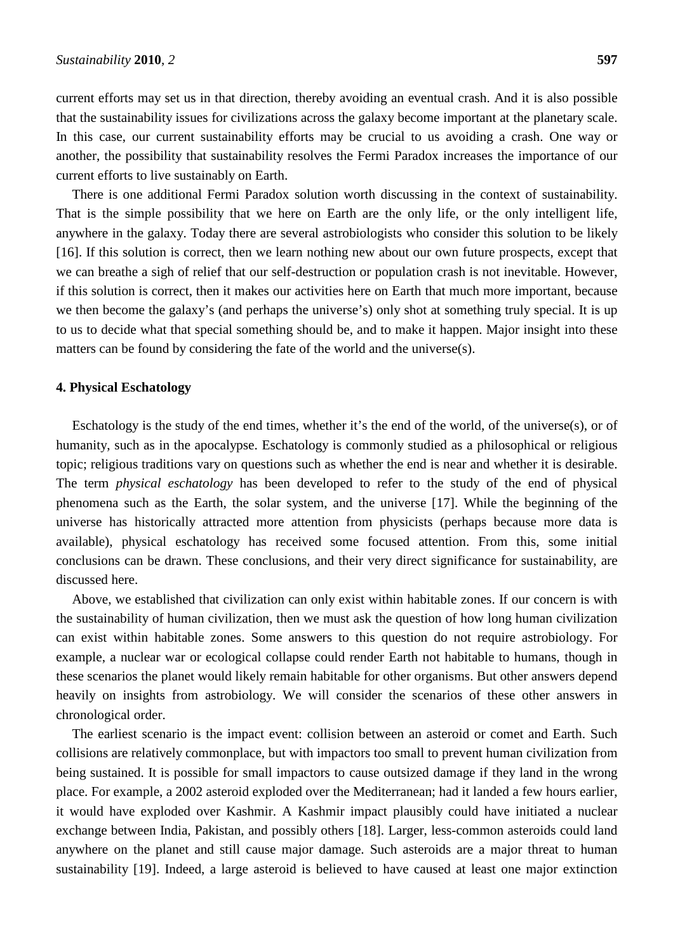current efforts may set us in that direction, thereby avoiding an eventual crash. And it is also possible that the sustainability issues for civilizations across the galaxy become important at the planetary scale. In this case, our current sustainability efforts may be crucial to us avoiding a crash. One way or another, the possibility that sustainability resolves the Fermi Paradox increases the importance of our current efforts to live sustainably on Earth.

There is one additional Fermi Paradox solution worth discussing in the context of sustainability. That is the simple possibility that we here on Earth are the only life, or the only intelligent life, anywhere in the galaxy. Today there are several astrobiologists who consider this solution to be likely [16]. If this solution is correct, then we learn nothing new about our own future prospects, except that we can breathe a sigh of relief that our self-destruction or population crash is not inevitable. However, if this solution is correct, then it makes our activities here on Earth that much more important, because we then become the galaxy's (and perhaps the universe's) only shot at something truly special. It is up to us to decide what that special something should be, and to make it happen. Major insight into these matters can be found by considering the fate of the world and the universe(s).

#### **4. Physical Eschatology**

Eschatology is the study of the end times, whether it's the end of the world, of the universe(s), or of humanity, such as in the apocalypse. Eschatology is commonly studied as a philosophical or religious topic; religious traditions vary on questions such as whether the end is near and whether it is desirable. The term *physical eschatology* has been developed to refer to the study of the end of physical phenomena such as the Earth, the solar system, and the universe [17]. While the beginning of the universe has historically attracted more attention from physicists (perhaps because more data is available), physical eschatology has received some focused attention. From this, some initial conclusions can be drawn. These conclusions, and their very direct significance for sustainability, are discussed here.

Above, we established that civilization can only exist within habitable zones. If our concern is with the sustainability of human civilization, then we must ask the question of how long human civilization can exist within habitable zones. Some answers to this question do not require astrobiology. For example, a nuclear war or ecological collapse could render Earth not habitable to humans, though in these scenarios the planet would likely remain habitable for other organisms. But other answers depend heavily on insights from astrobiology. We will consider the scenarios of these other answers in chronological order.

The earliest scenario is the impact event: collision between an asteroid or comet and Earth. Such collisions are relatively commonplace, but with impactors too small to prevent human civilization from being sustained. It is possible for small impactors to cause outsized damage if they land in the wrong place. For example, a 2002 asteroid exploded over the Mediterranean; had it landed a few hours earlier, it would have exploded over Kashmir. A Kashmir impact plausibly could have initiated a nuclear exchange between India, Pakistan, and possibly others [18]. Larger, less-common asteroids could land anywhere on the planet and still cause major damage. Such asteroids are a major threat to human sustainability [19]. Indeed, a large asteroid is believed to have caused at least one major extinction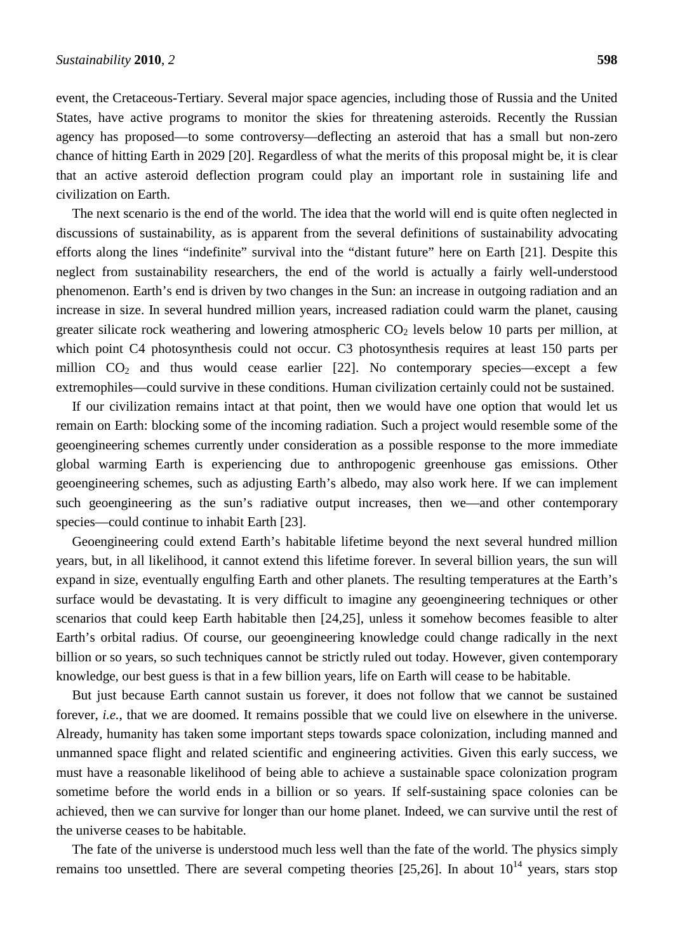event, the Cretaceous-Tertiary. Several major space agencies, including those of Russia and the United States, have active programs to monitor the skies for threatening asteroids. Recently the Russian agency has proposed—to some controversy—deflecting an asteroid that has a small but non-zero chance of hitting Earth in 2029 [20]. Regardless of what the merits of this proposal might be, it is clear that an active asteroid deflection program could play an important role in sustaining life and civilization on Earth.

The next scenario is the end of the world. The idea that the world will end is quite often neglected in discussions of sustainability, as is apparent from the several definitions of sustainability advocating efforts along the lines "indefinite" survival into the "distant future" here on Earth [21]. Despite this neglect from sustainability researchers, the end of the world is actually a fairly well-understood phenomenon. Earth's end is driven by two changes in the Sun: an increase in outgoing radiation and an increase in size. In several hundred million years, increased radiation could warm the planet, causing greater silicate rock weathering and lowering atmospheric  $CO<sub>2</sub>$  levels below 10 parts per million, at which point C4 photosynthesis could not occur. C3 photosynthesis requires at least 150 parts per million  $CO<sub>2</sub>$  and thus would cease earlier [22]. No contemporary species—except a few extremophiles—could survive in these conditions. Human civilization certainly could not be sustained.

If our civilization remains intact at that point, then we would have one option that would let us remain on Earth: blocking some of the incoming radiation. Such a project would resemble some of the geoengineering schemes currently under consideration as a possible response to the more immediate global warming Earth is experiencing due to anthropogenic greenhouse gas emissions. Other geoengineering schemes, such as adjusting Earth's albedo, may also work here. If we can implement such geoengineering as the sun's radiative output increases, then we—and other contemporary species—could continue to inhabit Earth [23].

Geoengineering could extend Earth's habitable lifetime beyond the next several hundred million years, but, in all likelihood, it cannot extend this lifetime forever. In several billion years, the sun will expand in size, eventually engulfing Earth and other planets. The resulting temperatures at the Earth's surface would be devastating. It is very difficult to imagine any geoengineering techniques or other scenarios that could keep Earth habitable then [24,25], unless it somehow becomes feasible to alter Earth's orbital radius. Of course, our geoengineering knowledge could change radically in the next billion or so years, so such techniques cannot be strictly ruled out today. However, given contemporary knowledge, our best guess is that in a few billion years, life on Earth will cease to be habitable.

But just because Earth cannot sustain us forever, it does not follow that we cannot be sustained forever, *i.e.*, that we are doomed. It remains possible that we could live on elsewhere in the universe. Already, humanity has taken some important steps towards space colonization, including manned and unmanned space flight and related scientific and engineering activities. Given this early success, we must have a reasonable likelihood of being able to achieve a sustainable space colonization program sometime before the world ends in a billion or so years. If self-sustaining space colonies can be achieved, then we can survive for longer than our home planet. Indeed, we can survive until the rest of the universe ceases to be habitable.

The fate of the universe is understood much less well than the fate of the world. The physics simply remains too unsettled. There are several competing theories [25,26]. In about  $10^{14}$  years, stars stop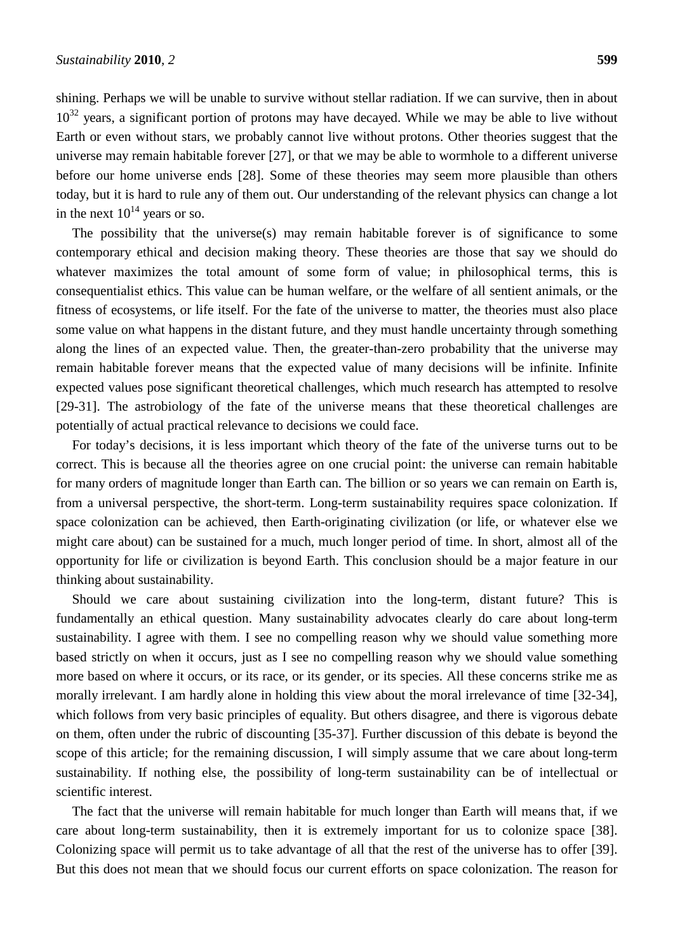shining. Perhaps we will be unable to survive without stellar radiation. If we can survive, then in about  $10^{32}$  years, a significant portion of protons may have decayed. While we may be able to live without Earth or even without stars, we probably cannot live without protons. Other theories suggest that the universe may remain habitable forever [27], or that we may be able to wormhole to a different universe before our home universe ends [28]. Some of these theories may seem more plausible than others today, but it is hard to rule any of them out. Our understanding of the relevant physics can change a lot in the next  $10^{14}$  years or so.

The possibility that the universe(s) may remain habitable forever is of significance to some contemporary ethical and decision making theory. These theories are those that say we should do whatever maximizes the total amount of some form of value; in philosophical terms, this is consequentialist ethics. This value can be human welfare, or the welfare of all sentient animals, or the fitness of ecosystems, or life itself. For the fate of the universe to matter, the theories must also place some value on what happens in the distant future, and they must handle uncertainty through something along the lines of an expected value. Then, the greater-than-zero probability that the universe may remain habitable forever means that the expected value of many decisions will be infinite. Infinite expected values pose significant theoretical challenges, which much research has attempted to resolve [29-31]. The astrobiology of the fate of the universe means that these theoretical challenges are potentially of actual practical relevance to decisions we could face.

For today's decisions, it is less important which theory of the fate of the universe turns out to be correct. This is because all the theories agree on one crucial point: the universe can remain habitable for many orders of magnitude longer than Earth can. The billion or so years we can remain on Earth is, from a universal perspective, the short-term. Long-term sustainability requires space colonization. If space colonization can be achieved, then Earth-originating civilization (or life, or whatever else we might care about) can be sustained for a much, much longer period of time. In short, almost all of the opportunity for life or civilization is beyond Earth. This conclusion should be a major feature in our thinking about sustainability.

Should we care about sustaining civilization into the long-term, distant future? This is fundamentally an ethical question. Many sustainability advocates clearly do care about long-term sustainability. I agree with them. I see no compelling reason why we should value something more based strictly on when it occurs, just as I see no compelling reason why we should value something more based on where it occurs, or its race, or its gender, or its species. All these concerns strike me as morally irrelevant. I am hardly alone in holding this view about the moral irrelevance of time [32-34], which follows from very basic principles of equality. But others disagree, and there is vigorous debate on them, often under the rubric of discounting [35-37]. Further discussion of this debate is beyond the scope of this article; for the remaining discussion, I will simply assume that we care about long-term sustainability. If nothing else, the possibility of long-term sustainability can be of intellectual or scientific interest.

The fact that the universe will remain habitable for much longer than Earth will means that, if we care about long-term sustainability, then it is extremely important for us to colonize space [38]. Colonizing space will permit us to take advantage of all that the rest of the universe has to offer [39]. But this does not mean that we should focus our current efforts on space colonization. The reason for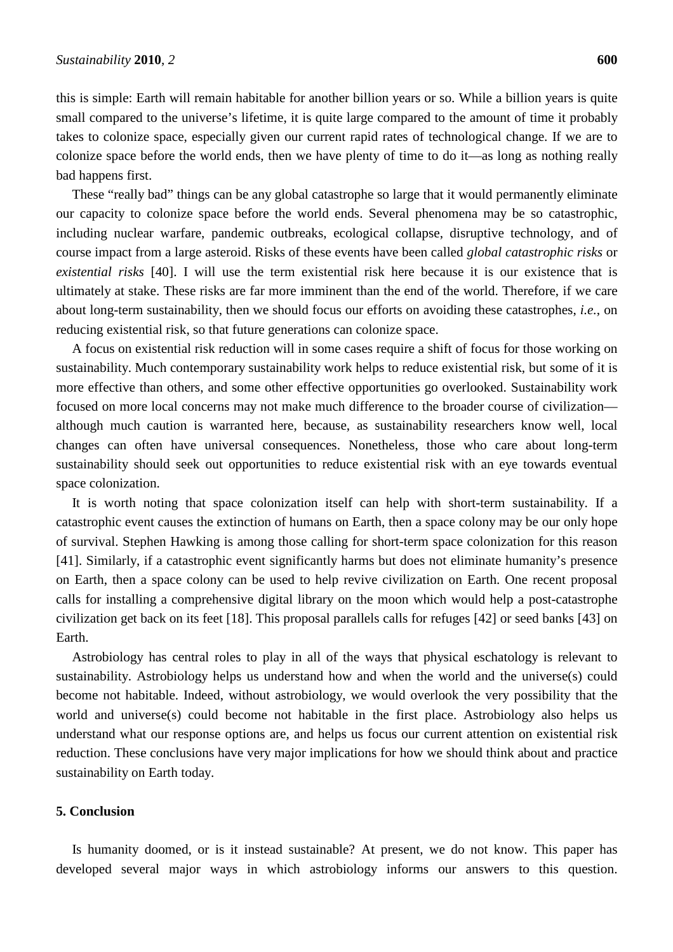this is simple: Earth will remain habitable for another billion years or so. While a billion years is quite small compared to the universe's lifetime, it is quite large compared to the amount of time it probably takes to colonize space, especially given our current rapid rates of technological change. If we are to colonize space before the world ends, then we have plenty of time to do it—as long as nothing really bad happens first.

These "really bad" things can be any global catastrophe so large that it would permanently eliminate our capacity to colonize space before the world ends. Several phenomena may be so catastrophic, including nuclear warfare, pandemic outbreaks, ecological collapse, disruptive technology, and of course impact from a large asteroid. Risks of these events have been called *global catastrophic risks* or *existential risks* [40]. I will use the term existential risk here because it is our existence that is ultimately at stake. These risks are far more imminent than the end of the world. Therefore, if we care about long-term sustainability, then we should focus our efforts on avoiding these catastrophes, *i.e.*, on reducing existential risk, so that future generations can colonize space.

A focus on existential risk reduction will in some cases require a shift of focus for those working on sustainability. Much contemporary sustainability work helps to reduce existential risk, but some of it is more effective than others, and some other effective opportunities go overlooked. Sustainability work focused on more local concerns may not make much difference to the broader course of civilization although much caution is warranted here, because, as sustainability researchers know well, local changes can often have universal consequences. Nonetheless, those who care about long-term sustainability should seek out opportunities to reduce existential risk with an eye towards eventual space colonization.

It is worth noting that space colonization itself can help with short-term sustainability. If a catastrophic event causes the extinction of humans on Earth, then a space colony may be our only hope of survival. Stephen Hawking is among those calling for short-term space colonization for this reason [41]. Similarly, if a catastrophic event significantly harms but does not eliminate humanity's presence on Earth, then a space colony can be used to help revive civilization on Earth. One recent proposal calls for installing a comprehensive digital library on the moon which would help a post-catastrophe civilization get back on its feet [18]. This proposal parallels calls for refuges [42] or seed banks [43] on Earth.

Astrobiology has central roles to play in all of the ways that physical eschatology is relevant to sustainability. Astrobiology helps us understand how and when the world and the universe(s) could become not habitable. Indeed, without astrobiology, we would overlook the very possibility that the world and universe(s) could become not habitable in the first place. Astrobiology also helps us understand what our response options are, and helps us focus our current attention on existential risk reduction. These conclusions have very major implications for how we should think about and practice sustainability on Earth today.

### **5. Conclusion**

Is humanity doomed, or is it instead sustainable? At present, we do not know. This paper has developed several major ways in which astrobiology informs our answers to this question.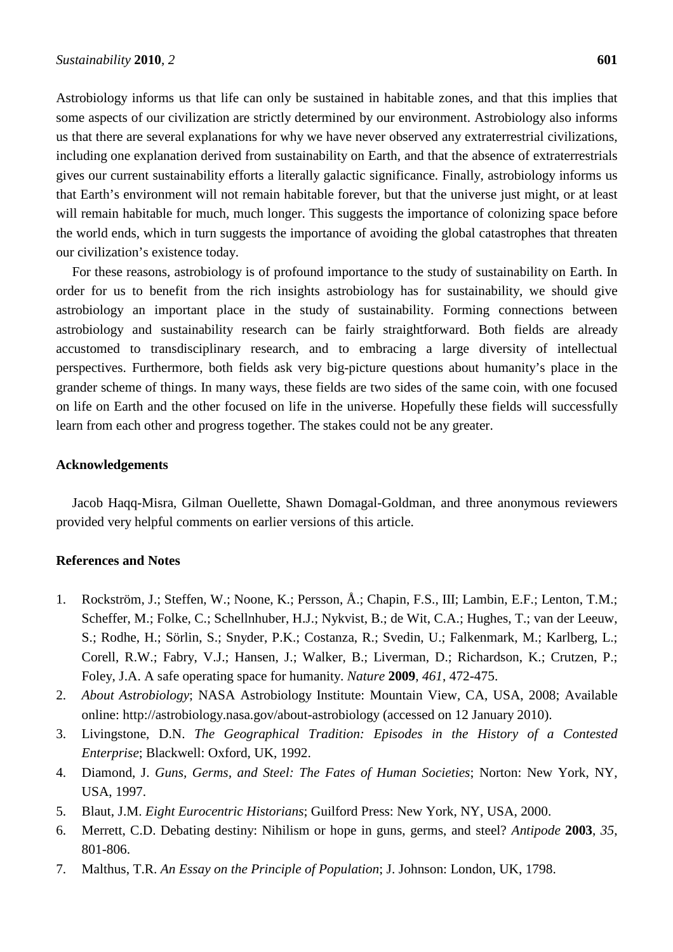Astrobiology informs us that life can only be sustained in habitable zones, and that this implies that some aspects of our civilization are strictly determined by our environment. Astrobiology also informs us that there are several explanations for why we have never observed any extraterrestrial civilizations, including one explanation derived from sustainability on Earth, and that the absence of extraterrestrials gives our current sustainability efforts a literally galactic significance. Finally, astrobiology informs us that Earth's environment will not remain habitable forever, but that the universe just might, or at least will remain habitable for much, much longer. This suggests the importance of colonizing space before the world ends, which in turn suggests the importance of avoiding the global catastrophes that threaten our civilization's existence today.

For these reasons, astrobiology is of profound importance to the study of sustainability on Earth. In order for us to benefit from the rich insights astrobiology has for sustainability, we should give astrobiology an important place in the study of sustainability. Forming connections between astrobiology and sustainability research can be fairly straightforward. Both fields are already accustomed to transdisciplinary research, and to embracing a large diversity of intellectual perspectives. Furthermore, both fields ask very big-picture questions about humanity's place in the grander scheme of things. In many ways, these fields are two sides of the same coin, with one focused on life on Earth and the other focused on life in the universe. Hopefully these fields will successfully learn from each other and progress together. The stakes could not be any greater.

#### **Acknowledgements**

Jacob Haqq-Misra, Gilman Ouellette, Shawn Domagal-Goldman, and three anonymous reviewers provided very helpful comments on earlier versions of this article.

#### **References and Notes**

- 1. Rockström, J.; Steffen, W.; Noone, K.; Persson, Å.; Chapin, F.S., III; Lambin, E.F.; Lenton, T.M.; Scheffer, M.; Folke, C.; Schellnhuber, H.J.; Nykvist, B.; de Wit, C.A.; Hughes, T.; van der Leeuw, S.; Rodhe, H.; Sörlin, S.; Snyder, P.K.; Costanza, R.; Svedin, U.; Falkenmark, M.; Karlberg, L.; Corell, R.W.; Fabry, V.J.; Hansen, J.; Walker, B.; Liverman, D.; Richardson, K.; Crutzen, P.; Foley, J.A. A safe operating space for humanity. *Nature* **2009**, *461*, 472-475.
- 2. *About Astrobiology*; NASA Astrobiology Institute: Mountain View, CA, USA, 2008; Available online: http://astrobiology.nasa.gov/about-astrobiology (accessed on 12 January 2010).
- 3. Livingstone, D.N. *The Geographical Tradition: Episodes in the History of a Contested Enterprise*; Blackwell: Oxford, UK, 1992.
- 4. Diamond, J. *Guns, Germs, and Steel: The Fates of Human Societies*; Norton: New York, NY, USA, 1997.
- 5. Blaut, J.M. *Eight Eurocentric Historians*; Guilford Press: New York, NY, USA, 2000.
- 6. Merrett, C.D. Debating destiny: Nihilism or hope in guns, germs, and steel? *Antipode* **2003**, *35*, 801-806.
- 7. Malthus, T.R. *An Essay on the Principle of Population*; J. Johnson: London, UK, 1798.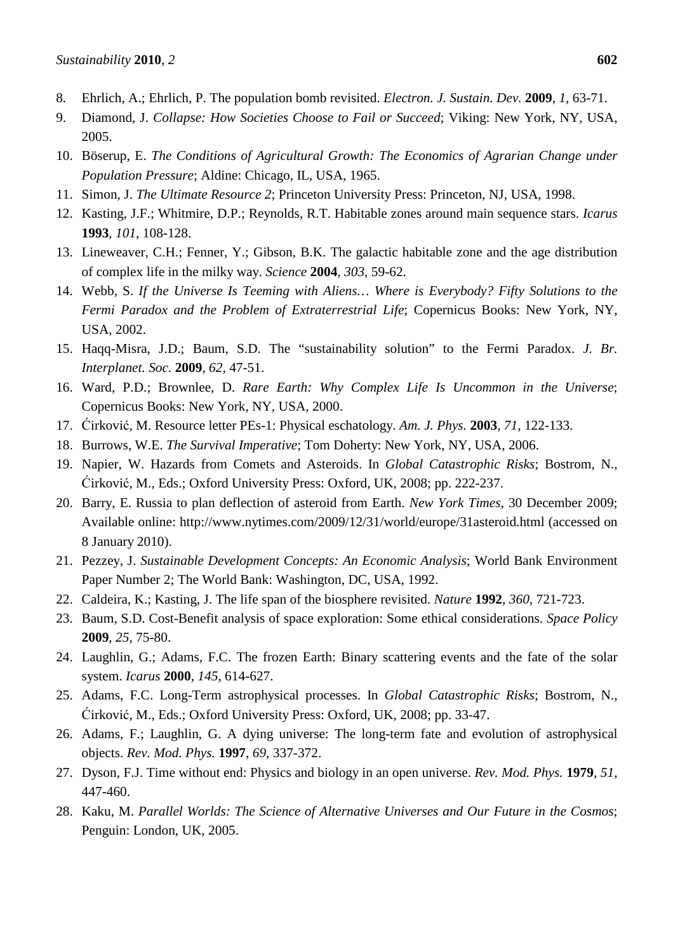- 8. Ehrlich, A.; Ehrlich, P. The population bomb revisited. *Electron. J. Sustain. Dev.* **2009**, *1*, 63-71.
- 9. Diamond, J. *Collapse: How Societies Choose to Fail or Succeed*; Viking: New York, NY, USA, 2005.
- 10. Böserup, E. *The Conditions of Agricultural Growth: The Economics of Agrarian Change under Population Pressure*; Aldine: Chicago, IL, USA, 1965.
- 11. Simon, J. *The Ultimate Resource 2*; Princeton University Press: Princeton, NJ, USA, 1998.
- 12. Kasting, J.F.; Whitmire, D.P.; Reynolds, R.T. Habitable zones around main sequence stars. *Icarus* **1993**, *101*, 108-128.
- 13. Lineweaver, C.H.; Fenner, Y.; Gibson, B.K. The galactic habitable zone and the age distribution of complex life in the milky way. *Science* **2004**, *303*, 59-62.
- 14. Webb, S. *If the Universe Is Teeming with Aliens… Where is Everybody? Fifty Solutions to the Fermi Paradox and the Problem of Extraterrestrial Life*; Copernicus Books: New York, NY, USA, 2002.
- 15. Haqq-Misra, J.D.; Baum, S.D. The "sustainability solution" to the Fermi Paradox. *J. Br. Interplanet. Soc.* **2009**, *62*, 47-51.
- 16. Ward, P.D.; Brownlee, D. *Rare Earth: Why Complex Life Is Uncommon in the Universe*; Copernicus Books: New York, NY, USA, 2000.
- 17. Ćirković, M. Resource letter PEs-1: Physical eschatology. *Am. J. Phys.* **2003**, *71*, 122-133.
- 18. Burrows, W.E. *The Survival Imperative*; Tom Doherty: New York, NY, USA, 2006.
- 19. Napier, W. Hazards from Comets and Asteroids. In *Global Catastrophic Risks*; Bostrom, N., Ćirković, M., Eds.; Oxford University Press: Oxford, UK, 2008; pp. 222-237.
- 20. Barry, E. Russia to plan deflection of asteroid from Earth. *New York Times*, 30 December 2009; Available online: http://www.nytimes.com/2009/12/31/world/europe/31asteroid.html (accessed on 8 January 2010).
- 21. Pezzey, J. *Sustainable Development Concepts: An Economic Analysis*; World Bank Environment Paper Number 2; The World Bank: Washington, DC, USA, 1992.
- 22. Caldeira, K.; Kasting, J. The life span of the biosphere revisited. *Nature* **1992**, *360*, 721-723.
- 23. Baum, S.D. Cost-Benefit analysis of space exploration: Some ethical considerations. *Space Policy* **2009**, *25*, 75-80.
- 24. Laughlin, G.; Adams, F.C. The frozen Earth: Binary scattering events and the fate of the solar system. *Icarus* **2000**, *145*, 614-627.
- 25. Adams, F.C. Long-Term astrophysical processes. In *Global Catastrophic Risks*; Bostrom, N., Ćirković, M., Eds.; Oxford University Press: Oxford, UK, 2008; pp. 33-47.
- 26. Adams, F.; Laughlin, G. A dying universe: The long-term fate and evolution of astrophysical objects. *Rev. Mod. Phys.* **1997**, *69*, 337-372.
- 27. Dyson, F.J. Time without end: Physics and biology in an open universe. *Rev. Mod. Phys.* **1979**, *51*, 447-460.
- 28. Kaku, M. *Parallel Worlds: The Science of Alternative Universes and Our Future in the Cosmos*; Penguin: London, UK, 2005.